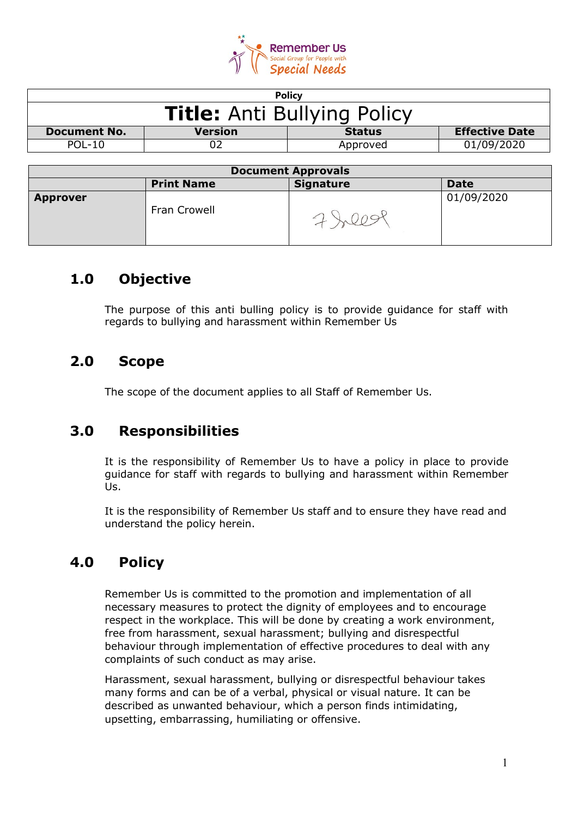

|                     |                | Policy                             |                       |
|---------------------|----------------|------------------------------------|-----------------------|
|                     |                | <b>Title: Anti Bullying Policy</b> |                       |
| <b>Document No.</b> | <b>Version</b> | <b>Status</b>                      | <b>Effective Date</b> |
| POL-10              |                | Approved                           | 01/09/2020            |

| <b>Document Approvals</b> |                   |                  |             |
|---------------------------|-------------------|------------------|-------------|
|                           | <b>Print Name</b> | <b>Signature</b> | <b>Date</b> |
| <b>Approver</b>           | Fran Crowell      |                  | 01/09/2020  |

# **1.0 Objective**

The purpose of this anti bulling policy is to provide guidance for staff with regards to bullying and harassment within Remember Us

# **2.0 Scope**

The scope of the document applies to all Staff of Remember Us.

# **3.0 Responsibilities**

It is the responsibility of Remember Us to have a policy in place to provide guidance for staff with regards to bullying and harassment within Remember Us.

It is the responsibility of Remember Us staff and to ensure they have read and understand the policy herein.

# **4.0 Policy**

Remember Us is committed to the promotion and implementation of all necessary measures to protect the dignity of employees and to encourage respect in the workplace. This will be done by creating a work environment, free from harassment, sexual harassment; bullying and disrespectful behaviour through implementation of effective procedures to deal with any complaints of such conduct as may arise.

Harassment, sexual harassment, bullying or disrespectful behaviour takes many forms and can be of a verbal, physical or visual nature. It can be described as unwanted behaviour, which a person finds intimidating, upsetting, embarrassing, humiliating or offensive.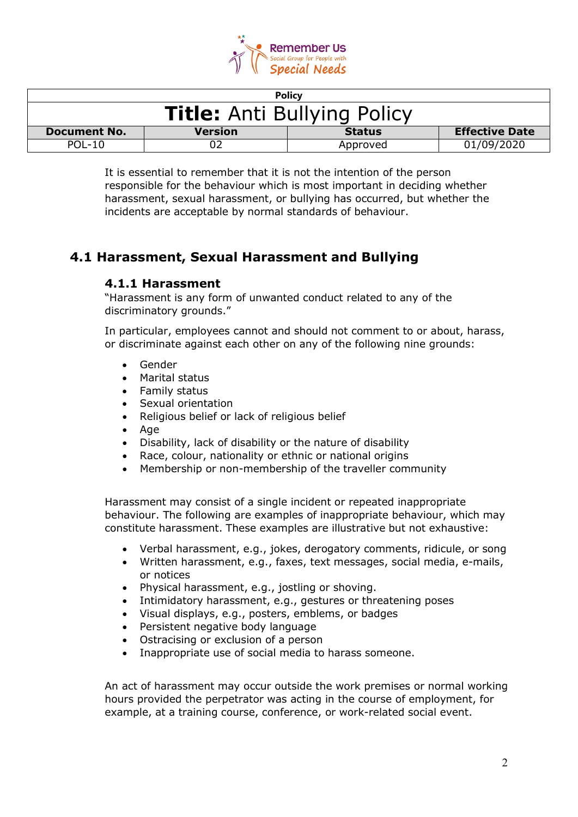

|                                    |                | <b>Policy</b> |                       |
|------------------------------------|----------------|---------------|-----------------------|
| <b>Title: Anti Bullying Policy</b> |                |               |                       |
| <b>Document No.</b>                | <b>Version</b> | <b>Status</b> | <b>Effective Date</b> |
| <b>POL-10</b>                      |                | Approved      | 01/09/2020            |

It is essential to remember that it is not the intention of the person responsible for the behaviour which is most important in deciding whether harassment, sexual harassment, or bullying has occurred, but whether the incidents are acceptable by normal standards of behaviour.

## **4.1 Harassment, Sexual Harassment and Bullying**

#### **4.1.1 Harassment**

"Harassment is any form of unwanted conduct related to any of the discriminatory grounds."

In particular, employees cannot and should not comment to or about, harass, or discriminate against each other on any of the following nine grounds:

- Gender
- Marital status
- Family status
- Sexual orientation
- Religious belief or lack of religious belief
- Age
- Disability, lack of disability or the nature of disability
- Race, colour, nationality or ethnic or national origins
- Membership or non-membership of the traveller community

Harassment may consist of a single incident or repeated inappropriate behaviour. The following are examples of inappropriate behaviour, which may constitute harassment. These examples are illustrative but not exhaustive:

- Verbal harassment, e.g., jokes, derogatory comments, ridicule, or song
- Written harassment, e.g., faxes, text messages, social media, e-mails, or notices
- Physical harassment, e.g., jostling or shoving.
- Intimidatory harassment, e.g., gestures or threatening poses
- Visual displays, e.g., posters, emblems, or badges
- Persistent negative body language
- Ostracising or exclusion of a person
- Inappropriate use of social media to harass someone.

An act of harassment may occur outside the work premises or normal working hours provided the perpetrator was acting in the course of employment, for example, at a training course, conference, or work-related social event.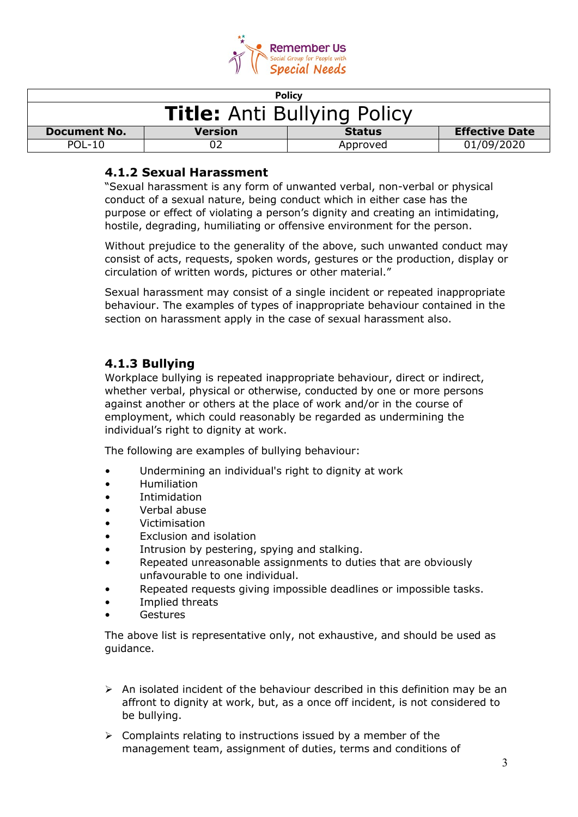

|                                    |                | <b>Policy</b> |                       |
|------------------------------------|----------------|---------------|-----------------------|
| <b>Title: Anti Bullying Policy</b> |                |               |                       |
| <b>Document No.</b>                | <b>Version</b> | <b>Status</b> | <b>Effective Date</b> |
| $POL-10$                           |                | Approved      | 01/09/2020            |

#### **4.1.2 Sexual Harassment**

"Sexual harassment is any form of unwanted verbal, non-verbal or physical conduct of a sexual nature, being conduct which in either case has the purpose or effect of violating a person's dignity and creating an intimidating, hostile, degrading, humiliating or offensive environment for the person.

Without prejudice to the generality of the above, such unwanted conduct may consist of acts, requests, spoken words, gestures or the production, display or circulation of written words, pictures or other material."

Sexual harassment may consist of a single incident or repeated inappropriate behaviour. The examples of types of inappropriate behaviour contained in the section on harassment apply in the case of sexual harassment also.

### **4.1.3 Bullying**

Workplace bullying is repeated inappropriate behaviour, direct or indirect, whether verbal, physical or otherwise, conducted by one or more persons against another or others at the place of work and/or in the course of employment, which could reasonably be regarded as undermining the individual's right to dignity at work.

The following are examples of bullying behaviour:

- Undermining an individual's right to dignity at work
- Humiliation
- Intimidation
- Verbal abuse
- Victimisation
- Exclusion and isolation
- Intrusion by pestering, spying and stalking.
- Repeated unreasonable assignments to duties that are obviously unfavourable to one individual.
- Repeated requests giving impossible deadlines or impossible tasks.
- Implied threats
- **Gestures**

The above list is representative only, not exhaustive, and should be used as guidance.

- $\triangleright$  An isolated incident of the behaviour described in this definition may be an affront to dignity at work, but, as a once off incident, is not considered to be bullying.
- $\triangleright$  Complaints relating to instructions issued by a member of the management team, assignment of duties, terms and conditions of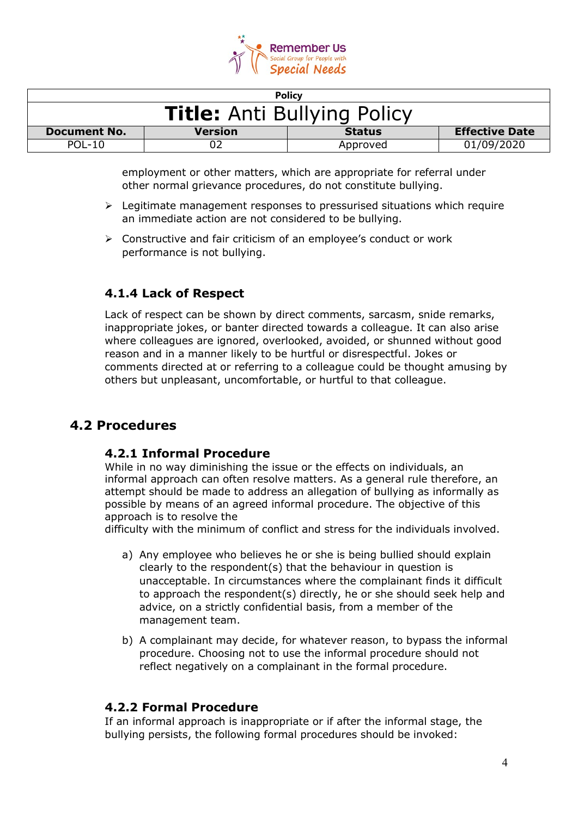

|                                    |                | <b>Policy</b> |                       |
|------------------------------------|----------------|---------------|-----------------------|
| <b>Title: Anti Bullying Policy</b> |                |               |                       |
| <b>Document No.</b>                | <b>Version</b> | <b>Status</b> | <b>Effective Date</b> |
| $POL-10$                           |                | Approved      | 01/09/2020            |

employment or other matters, which are appropriate for referral under other normal grievance procedures, do not constitute bullying.

- $\triangleright$  Legitimate management responses to pressurised situations which require an immediate action are not considered to be bullying.
- $\triangleright$  Constructive and fair criticism of an employee's conduct or work performance is not bullying.

#### **4.1.4 Lack of Respect**

Lack of respect can be shown by direct comments, sarcasm, snide remarks, inappropriate jokes, or banter directed towards a colleague. It can also arise where colleagues are ignored, overlooked, avoided, or shunned without good reason and in a manner likely to be hurtful or disrespectful. Jokes or comments directed at or referring to a colleague could be thought amusing by others but unpleasant, uncomfortable, or hurtful to that colleague.

### **4.2 Procedures**

#### **4.2.1 Informal Procedure**

While in no way diminishing the issue or the effects on individuals, an informal approach can often resolve matters. As a general rule therefore, an attempt should be made to address an allegation of bullying as informally as possible by means of an agreed informal procedure. The objective of this approach is to resolve the

difficulty with the minimum of conflict and stress for the individuals involved.

- a) Any employee who believes he or she is being bullied should explain clearly to the respondent(s) that the behaviour in question is unacceptable. In circumstances where the complainant finds it difficult to approach the respondent(s) directly, he or she should seek help and advice, on a strictly confidential basis, from a member of the management team.
- b) A complainant may decide, for whatever reason, to bypass the informal procedure. Choosing not to use the informal procedure should not reflect negatively on a complainant in the formal procedure.

#### **4.2.2 Formal Procedure**

If an informal approach is inappropriate or if after the informal stage, the bullying persists, the following formal procedures should be invoked: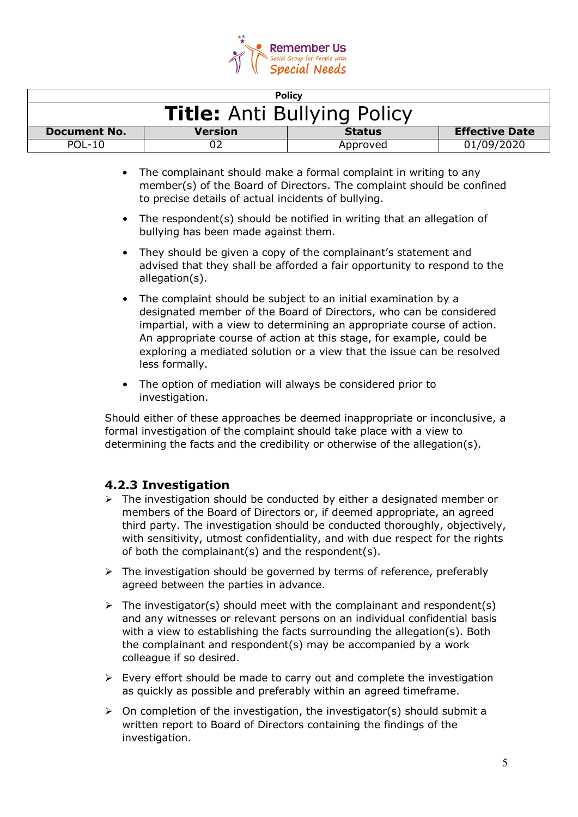

|                                    |                | <b>Policy</b> |                       |
|------------------------------------|----------------|---------------|-----------------------|
| <b>Title: Anti Bullying Policy</b> |                |               |                       |
| <b>Document No.</b>                | <b>Version</b> | <b>Status</b> | <b>Effective Date</b> |
| $POL-10$                           |                | Approved      | 01/09/2020            |

- The complainant should make a formal complaint in writing to any member(s) of the Board of Directors. The complaint should be confined to precise details of actual incidents of bullying.
- The respondent(s) should be notified in writing that an allegation of bullying has been made against them.
- They should be given a copy of the complainant's statement and advised that they shall be afforded a fair opportunity to respond to the allegation(s).
- The complaint should be subject to an initial examination by a designated member of the Board of Directors, who can be considered impartial, with a view to determining an appropriate course of action. An appropriate course of action at this stage, for example, could be exploring a mediated solution or a view that the issue can be resolved less formally.
- The option of mediation will always be considered prior to investigation.

Should either of these approaches be deemed inappropriate or inconclusive, a formal investigation of the complaint should take place with a view to determining the facts and the credibility or otherwise of the allegation(s).

### **4.2.3 Investigation**

- $\triangleright$  The investigation should be conducted by either a designated member or members of the Board of Directors or, if deemed appropriate, an agreed third party. The investigation should be conducted thoroughly, objectively, with sensitivity, utmost confidentiality, and with due respect for the rights of both the complainant(s) and the respondent(s).
- $\triangleright$  The investigation should be governed by terms of reference, preferably agreed between the parties in advance.
- $\triangleright$  The investigator(s) should meet with the complainant and respondent(s) and any witnesses or relevant persons on an individual confidential basis with a view to establishing the facts surrounding the allegation(s). Both the complainant and respondent(s) may be accompanied by a work colleague if so desired.
- $\triangleright$  Every effort should be made to carry out and complete the investigation as quickly as possible and preferably within an agreed timeframe.
- $\triangleright$  On completion of the investigation, the investigator(s) should submit a written report to Board of Directors containing the findings of the investigation.